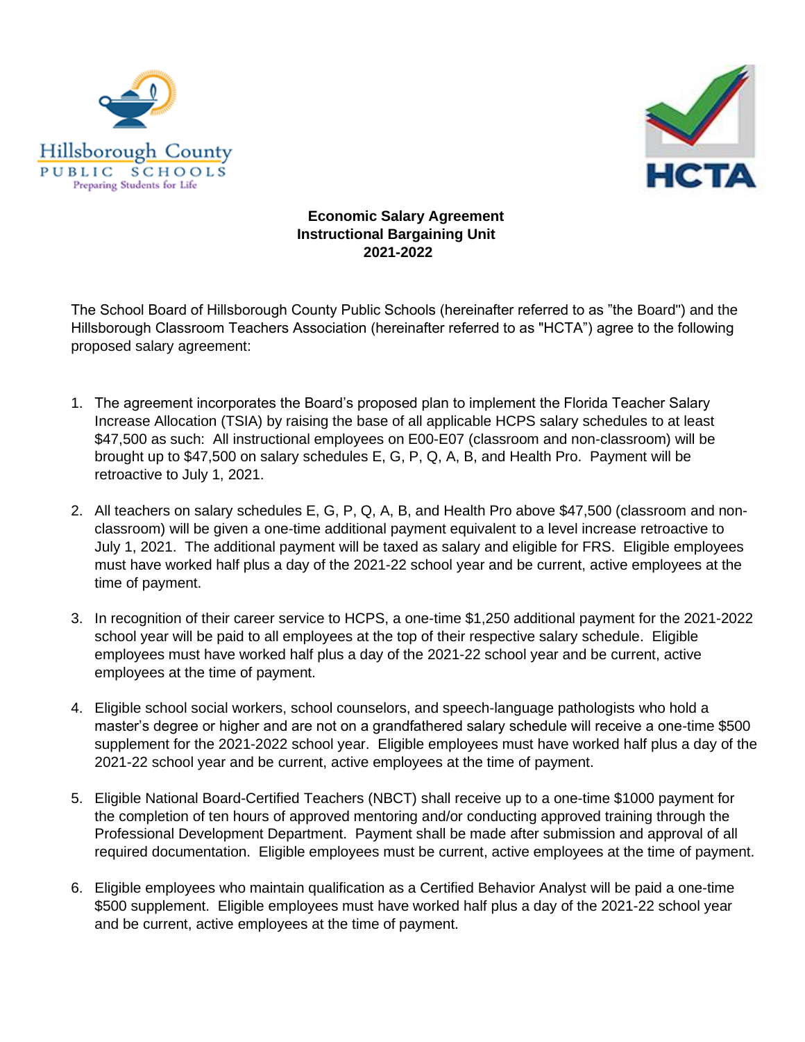



## **Economic Salary Agreement Instructional Bargaining Unit 2021-2022**

The School Board of Hillsborough County Public Schools (hereinafter referred to as "the Board") and the Hillsborough Classroom Teachers Association (hereinafter referred to as "HCTA") agree to the following proposed salary agreement:

- 1. The agreement incorporates the Board's proposed plan to implement the Florida Teacher Salary Increase Allocation (TSIA) by raising the base of all applicable HCPS salary schedules to at least \$47,500 as such: All instructional employees on E00-E07 (classroom and non-classroom) will be brought up to \$47,500 on salary schedules E, G, P, Q, A, B, and Health Pro. Payment will be retroactive to July 1, 2021.
- 2. All teachers on salary schedules E, G, P, Q, A, B, and Health Pro above \$47,500 (classroom and nonclassroom) will be given a one-time additional payment equivalent to a level increase retroactive to July 1, 2021. The additional payment will be taxed as salary and eligible for FRS. Eligible employees must have worked half plus a day of the 2021-22 school year and be current, active employees at the time of payment.
- 3. In recognition of their career service to HCPS, a one-time \$1,250 additional payment for the 2021-2022 school year will be paid to all employees at the top of their respective salary schedule. Eligible employees must have worked half plus a day of the 2021-22 school year and be current, active employees at the time of payment.
- 4. Eligible school social workers, school counselors, and speech-language pathologists who hold a master's degree or higher and are not on a grandfathered salary schedule will receive a one-time \$500 supplement for the 2021-2022 school year. Eligible employees must have worked half plus a day of the 2021-22 school year and be current, active employees at the time of payment.
- 5. Eligible National Board-Certified Teachers (NBCT) shall receive up to a one-time \$1000 payment for the completion of ten hours of approved mentoring and/or conducting approved training through the Professional Development Department. Payment shall be made after submission and approval of all required documentation. Eligible employees must be current, active employees at the time of payment.
- 6. Eligible employees who maintain qualification as a Certified Behavior Analyst will be paid a one-time \$500 supplement. Eligible employees must have worked half plus a day of the 2021-22 school year and be current, active employees at the time of payment.